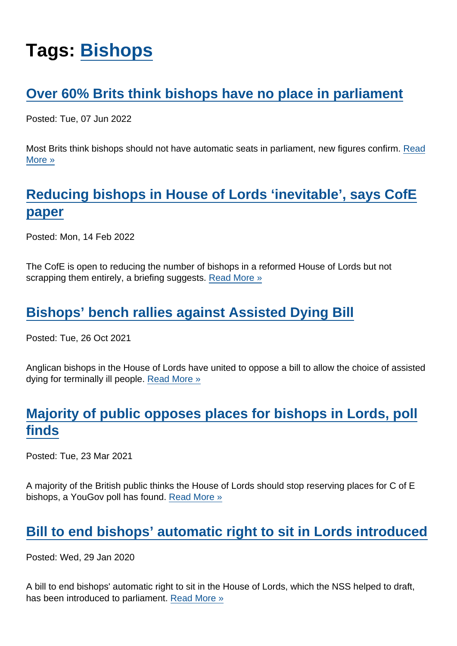# Tags: [Bishops](https://www.secularism.org.uk/news/tags/Bishops)

## [Over 60% Brits think bishops have no place in parliament](https://www.secularism.org.uk/news/2022/06/over-60-percent-brits-think-bishops-have-no-place-in-parliament)

Posted: Tue, 07 Jun 2022

Most Brits think bishops should not have automatic seats in parliament, new figures confirm. [Read](https://www.secularism.org.uk/news/2022/06/over-60-percent-brits-think-bishops-have-no-place-in-parliament) [More »](https://www.secularism.org.uk/news/2022/06/over-60-percent-brits-think-bishops-have-no-place-in-parliament)

# [Reducing bishops in House of Lords 'inevitable', says CofE](https://www.secularism.org.uk/news/2022/02/reducing-bishops-in-house-of-lords-inevitable-says-cofe-paper) [paper](https://www.secularism.org.uk/news/2022/02/reducing-bishops-in-house-of-lords-inevitable-says-cofe-paper)

Posted: Mon, 14 Feb 2022

The CofE is open to reducing the number of bishops in a reformed House of Lords but not scrapping them entirely, a briefing suggests. [Read More »](https://www.secularism.org.uk/news/2022/02/reducing-bishops-in-house-of-lords-inevitable-says-cofe-paper)

## [Bishops' bench rallies against Assisted Dying Bill](https://www.secularism.org.uk/news/2021/10/bishops-bench-rallies-against-assisted-dying-bill)

Posted: Tue, 26 Oct 2021

Anglican bishops in the House of Lords have united to oppose a bill to allow the choice of assisted dying for terminally ill people. [Read More »](https://www.secularism.org.uk/news/2021/10/bishops-bench-rallies-against-assisted-dying-bill)

# [Majority of public opposes places for bishops in Lords, poll](https://www.secularism.org.uk/news/2021/03/majority-of-public-opposes-places-for-bishops-in-lords-poll-finds) [finds](https://www.secularism.org.uk/news/2021/03/majority-of-public-opposes-places-for-bishops-in-lords-poll-finds)

Posted: Tue, 23 Mar 2021

A majority of the British public thinks the House of Lords should stop reserving places for C of E bishops, a YouGov poll has found. [Read More »](https://www.secularism.org.uk/news/2021/03/majority-of-public-opposes-places-for-bishops-in-lords-poll-finds)

## [Bill to end bishops' automatic right to sit in Lords introduced](https://www.secularism.org.uk/news/2020/01/bill-to-end-bishops-automatic-right-to-sit-in-lords-introduced)

Posted: Wed, 29 Jan 2020

A bill to end bishops' automatic right to sit in the House of Lords, which the NSS helped to draft, has been introduced to parliament. [Read More »](https://www.secularism.org.uk/news/2020/01/bill-to-end-bishops-automatic-right-to-sit-in-lords-introduced)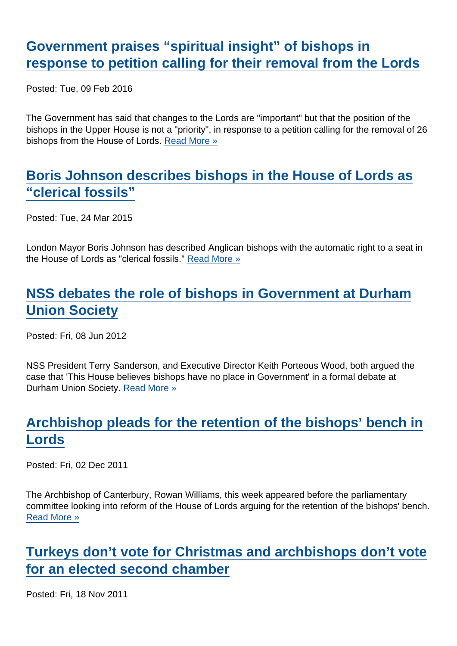## [Government praises "spiritual insight" of bishops in](https://www.secularism.org.uk/news/2016/02/government-praises-spiritual-insight-of-bishops-in-response-to-petition-calling-for-their-removal-from-the-lords) [response to petition calling for their removal from the Lords](https://www.secularism.org.uk/news/2016/02/government-praises-spiritual-insight-of-bishops-in-response-to-petition-calling-for-their-removal-from-the-lords)

Posted: Tue, 09 Feb 2016

The Government has said that changes to the Lords are "important" but that the position of the bishops in the Upper House is not a "priority", in response to a petition calling for the removal of 26 bishops from the House of Lords. [Read More »](https://www.secularism.org.uk/news/2016/02/government-praises-spiritual-insight-of-bishops-in-response-to-petition-calling-for-their-removal-from-the-lords)

## [Boris Johnson describes bishops in the House of Lords as](https://www.secularism.org.uk/news/2015/03/boris-johnson-describes-bishops-in-the-house-of-lords-as-clerical-fossils) ["clerical fossils"](https://www.secularism.org.uk/news/2015/03/boris-johnson-describes-bishops-in-the-house-of-lords-as-clerical-fossils)

Posted: Tue, 24 Mar 2015

London Mayor Boris Johnson has described Anglican bishops with the automatic right to a seat in the House of Lords as "clerical fossils." [Read More »](https://www.secularism.org.uk/news/2015/03/boris-johnson-describes-bishops-in-the-house-of-lords-as-clerical-fossils)

# [NSS debates the role of bishops in Government at Durham](https://www.secularism.org.uk/news/2012/06/nss-debates-the-role-of-bishops-in-government-at-durham-university-students-union) [Union Society](https://www.secularism.org.uk/news/2012/06/nss-debates-the-role-of-bishops-in-government-at-durham-university-students-union)

Posted: Fri, 08 Jun 2012

NSS President Terry Sanderson, and Executive Director Keith Porteous Wood, both argued the case that 'This House believes bishops have no place in Government' in a formal debate at Durham Union Society. [Read More »](https://www.secularism.org.uk/news/2012/06/nss-debates-the-role-of-bishops-in-government-at-durham-university-students-union)

# [Archbishop pleads for the retention of the bishops' bench in](https://www.secularism.org.uk/news/2011/12/archbishop-pleads-for-the-retention-of-the-bishops-bench-in-lords) [Lords](https://www.secularism.org.uk/news/2011/12/archbishop-pleads-for-the-retention-of-the-bishops-bench-in-lords)

Posted: Fri, 02 Dec 2011

The Archbishop of Canterbury, Rowan Williams, this week appeared before the parliamentary committee looking into reform of the House of Lords arguing for the retention of the bishops' bench. [Read More »](https://www.secularism.org.uk/news/2011/12/archbishop-pleads-for-the-retention-of-the-bishops-bench-in-lords)

## [Turkeys don't vote for Christmas and archbishops don't vote](https://www.secularism.org.uk/news/2011/11/turkeys-dont-vote-for-christmas-and-archbishops-dont-vote-for-an-elected-second-chamber) [for an elected second chamber](https://www.secularism.org.uk/news/2011/11/turkeys-dont-vote-for-christmas-and-archbishops-dont-vote-for-an-elected-second-chamber)

Posted: Fri, 18 Nov 2011